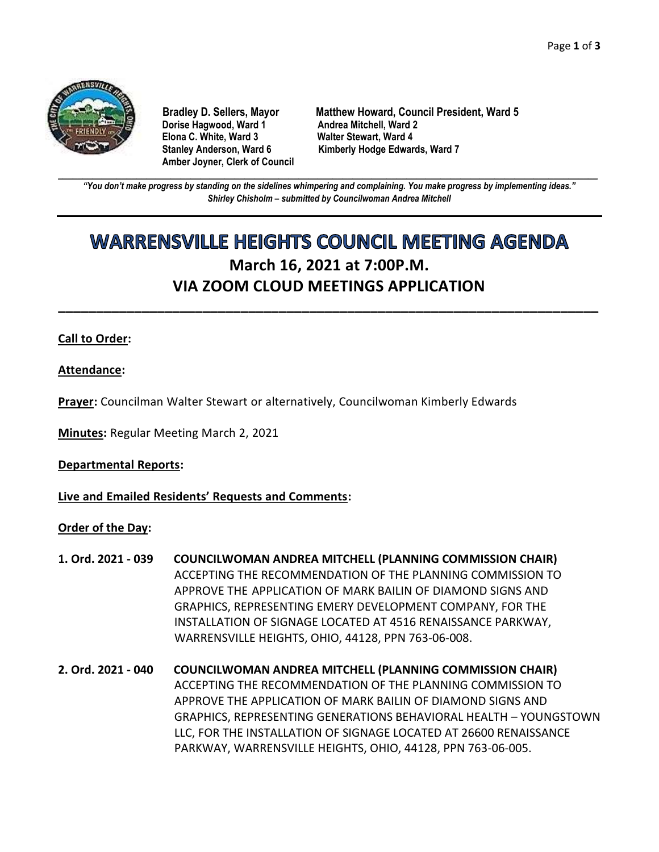

**Dorise Hagwood, Ward 1 Elona C. White, Ward 3 Walter Stewart, Ward 4 Amber Joyner, Clerk of Council**

**Bradley D. Sellers, Mayor Matthew Howard, Council President, Ward 5** Stanley Anderson, Ward 6 Kimberly Hodge Edwards, Ward 7

**\_\_\_\_\_\_\_\_\_\_\_\_\_\_\_\_\_\_\_\_\_\_\_\_\_\_\_\_\_\_\_\_\_\_\_\_\_\_\_\_\_\_\_\_\_\_\_\_\_\_\_\_\_\_\_\_\_\_\_\_\_\_\_\_\_\_\_\_\_\_\_\_\_\_\_\_\_\_\_\_\_\_\_\_\_\_\_\_\_\_\_\_\_\_\_\_\_\_\_\_\_\_\_\_\_\_\_\_\_\_** *"You don't make progress by standing on the sidelines whimpering and complaining. You make progress by implementing ideas." Shirley Chisholm – submitted by Councilwoman Andrea Mitchell*

# **WARRENSVILLE HEIGHTS COUNCIL MEETING AGENDA March 16, 2021 at 7:00P.M. VIA ZOOM CLOUD MEETINGS APPLICATION**

**\_\_\_\_\_\_\_\_\_\_\_\_\_\_\_\_\_\_\_\_\_\_\_\_\_\_\_\_\_\_\_\_\_\_\_\_\_\_\_\_\_\_\_\_\_\_\_\_\_\_\_\_\_\_\_\_\_\_\_\_\_\_\_\_\_\_\_\_\_\_\_**

# **Call to Order:**

**Attendance:**

**Prayer:** Councilman Walter Stewart or alternatively, Councilwoman Kimberly Edwards

**Minutes:** Regular Meeting March 2, 2021

**Departmental Reports:**

**Live and Emailed Residents' Requests and Comments:**

**Order of the Day:**

- **1. Ord. 2021 - 039 COUNCILWOMAN ANDREA MITCHELL (PLANNING COMMISSION CHAIR)** ACCEPTING THE RECOMMENDATION OF THE PLANNING COMMISSION TO APPROVE THE APPLICATION OF MARK BAILIN OF DIAMOND SIGNS AND GRAPHICS, REPRESENTING EMERY DEVELOPMENT COMPANY, FOR THE INSTALLATION OF SIGNAGE LOCATED AT 4516 RENAISSANCE PARKWAY, WARRENSVILLE HEIGHTS, OHIO, 44128, PPN 763-06-008.
- **2. Ord. 2021 - 040 COUNCILWOMAN ANDREA MITCHELL (PLANNING COMMISSION CHAIR)** ACCEPTING THE RECOMMENDATION OF THE PLANNING COMMISSION TO APPROVE THE APPLICATION OF MARK BAILIN OF DIAMOND SIGNS AND GRAPHICS, REPRESENTING GENERATIONS BEHAVIORAL HEALTH – YOUNGSTOWN LLC, FOR THE INSTALLATION OF SIGNAGE LOCATED AT 26600 RENAISSANCE PARKWAY, WARRENSVILLE HEIGHTS, OHIO, 44128, PPN 763-06-005.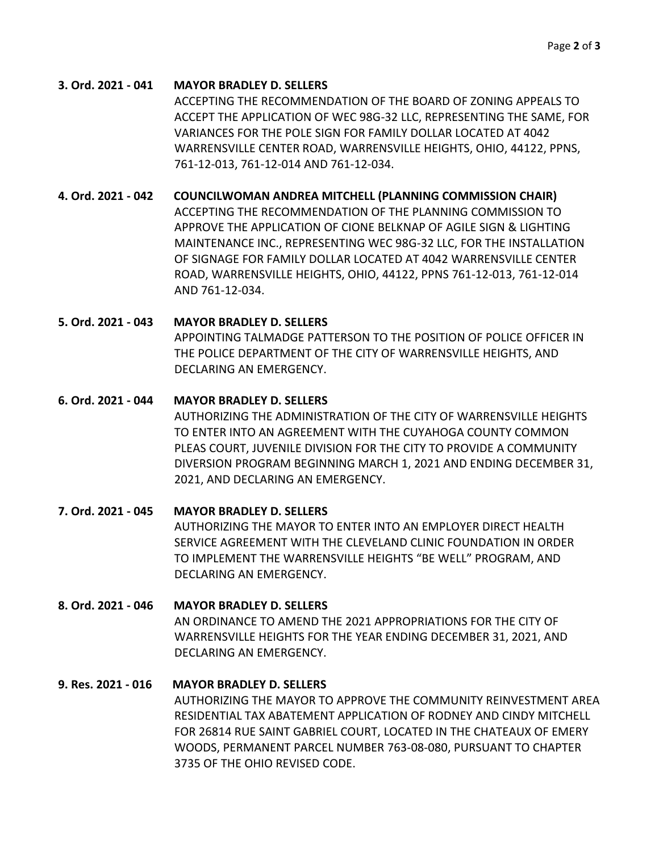#### **3. Ord. 2021 - 041 MAYOR BRADLEY D. SELLERS**

ACCEPTING THE RECOMMENDATION OF THE BOARD OF ZONING APPEALS TO ACCEPT THE APPLICATION OF WEC 98G-32 LLC, REPRESENTING THE SAME, FOR VARIANCES FOR THE POLE SIGN FOR FAMILY DOLLAR LOCATED AT 4042 WARRENSVILLE CENTER ROAD, WARRENSVILLE HEIGHTS, OHIO, 44122, PPNS, 761-12-013, 761-12-014 AND 761-12-034.

## **4. Ord. 2021 - 042 COUNCILWOMAN ANDREA MITCHELL (PLANNING COMMISSION CHAIR)**

ACCEPTING THE RECOMMENDATION OF THE PLANNING COMMISSION TO APPROVE THE APPLICATION OF CIONE BELKNAP OF AGILE SIGN & LIGHTING MAINTENANCE INC., REPRESENTING WEC 98G-32 LLC, FOR THE INSTALLATION OF SIGNAGE FOR FAMILY DOLLAR LOCATED AT 4042 WARRENSVILLE CENTER ROAD, WARRENSVILLE HEIGHTS, OHIO, 44122, PPNS 761-12-013, 761-12-014 AND 761-12-034.

#### **5. Ord. 2021 - 043 MAYOR BRADLEY D. SELLERS**

APPOINTING TALMADGE PATTERSON TO THE POSITION OF POLICE OFFICER IN THE POLICE DEPARTMENT OF THE CITY OF WARRENSVILLE HEIGHTS, AND DECLARING AN EMERGENCY.

## **6. Ord. 2021 - 044 MAYOR BRADLEY D. SELLERS**

AUTHORIZING THE ADMINISTRATION OF THE CITY OF WARRENSVILLE HEIGHTS TO ENTER INTO AN AGREEMENT WITH THE CUYAHOGA COUNTY COMMON PLEAS COURT, JUVENILE DIVISION FOR THE CITY TO PROVIDE A COMMUNITY DIVERSION PROGRAM BEGINNING MARCH 1, 2021 AND ENDING DECEMBER 31, 2021, AND DECLARING AN EMERGENCY.

# **7. Ord. 2021 - 045 MAYOR BRADLEY D. SELLERS** AUTHORIZING THE MAYOR TO ENTER INTO AN EMPLOYER DIRECT HEALTH SERVICE AGREEMENT WITH THE CLEVELAND CLINIC FOUNDATION IN ORDER TO IMPLEMENT THE WARRENSVILLE HEIGHTS "BE WELL" PROGRAM, AND DECLARING AN EMERGENCY.

# **8. Ord. 2021 - 046 MAYOR BRADLEY D. SELLERS**

AN ORDINANCE TO AMEND THE 2021 APPROPRIATIONS FOR THE CITY OF WARRENSVILLE HEIGHTS FOR THE YEAR ENDING DECEMBER 31, 2021, AND DECLARING AN EMERGENCY.

# **9. Res. 2021 - 016 MAYOR BRADLEY D. SELLERS**

AUTHORIZING THE MAYOR TO APPROVE THE COMMUNITY REINVESTMENT AREA RESIDENTIAL TAX ABATEMENT APPLICATION OF RODNEY AND CINDY MITCHELL FOR 26814 RUE SAINT GABRIEL COURT, LOCATED IN THE CHATEAUX OF EMERY WOODS, PERMANENT PARCEL NUMBER 763-08-080, PURSUANT TO CHAPTER 3735 OF THE OHIO REVISED CODE.